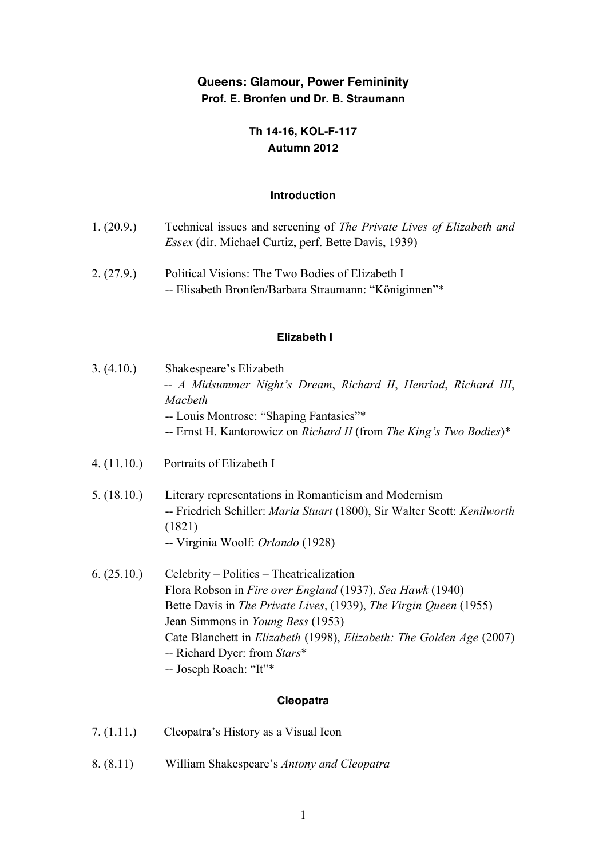# **Queens: Glamour, Power Femininity Prof. E. Bronfen und Dr. B. Straumann**

## **Th 14-16, KOL-F-117 Autumn 2012**

### **Introduction**

| 1. (20.9.) | Technical issues and screening of <i>The Private Lives of Elizabeth and</i> |
|------------|-----------------------------------------------------------------------------|
|            | <i>Essex</i> (dir. Michael Curtiz, perf. Bette Davis, 1939)                 |

2. (27.9.) Political Visions: The Two Bodies of Elizabeth I -- Elisabeth Bronfen/Barbara Straumann: "Königinnen"\*

### **Elizabeth I**

| 3. (4.10.)  | Shakespeare's Elizabeth<br>-- A Midsummer Night's Dream, Richard II, Henriad, Richard III,<br>Macbeth<br>-- Louis Montrose: "Shaping Fantasies"*<br>-- Ernst H. Kantorowicz on Richard II (from The King's Two Bodies)*                                                                                                                                                |  |
|-------------|------------------------------------------------------------------------------------------------------------------------------------------------------------------------------------------------------------------------------------------------------------------------------------------------------------------------------------------------------------------------|--|
| 4. (11.10.) | Portraits of Elizabeth I                                                                                                                                                                                                                                                                                                                                               |  |
| 5. (18.10.) | Literary representations in Romanticism and Modernism<br>-- Friedrich Schiller: Maria Stuart (1800), Sir Walter Scott: Kenilworth<br>(1821)<br>-- Virginia Woolf: <i>Orlando</i> (1928)                                                                                                                                                                                |  |
| 6. (25.10.) | Celebrity – Politics – Theatricalization<br>Flora Robson in Fire over England (1937), Sea Hawk (1940)<br>Bette Davis in The Private Lives, (1939), The Virgin Queen (1955)<br>Jean Simmons in <i>Young Bess</i> (1953)<br>Cate Blanchett in <i>Elizabeth</i> (1998), <i>Elizabeth: The Golden Age</i> (2007)<br>-- Richard Dyer: from Stars*<br>-- Joseph Roach: "It"* |  |
| Cleopatra   |                                                                                                                                                                                                                                                                                                                                                                        |  |

- 7. (1.11.) Cleopatra's History as a Visual Icon
- 8. (8.11) William Shakespeare's *Antony and Cleopatra*